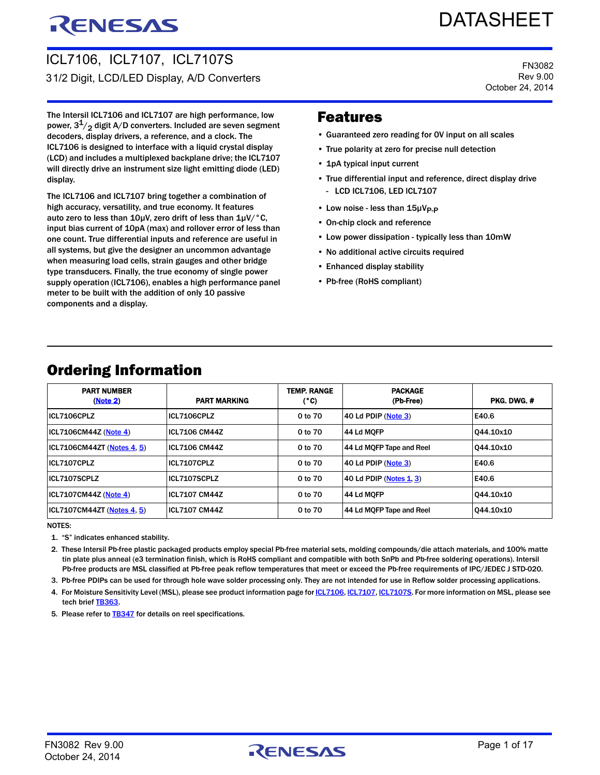# RENESAS

# **DATASHEET**

FN3082 Rev 9.00 October 24, 2014

ICL7106, ICL7107, ICL7107S 31/2 Digit, LCD/LED Display, A/D Converters

The Intersil ICL7106 and ICL7107 are high performance, low power,  $3^1/2$  digit A/D converters. Included are seven segment decoders, display drivers, a reference, and a clock. The ICL7106 is designed to interface with a liquid crystal display (LCD) and includes a multiplexed backplane drive; the ICL7107 will directly drive an instrument size light emitting diode (LED) display.

The ICL7106 and ICL7107 bring together a combination of high accuracy, versatility, and true economy. It features auto zero to less than  $10\mu$ V, zero drift of less than  $1\mu$ V/ $\degree$ C, input bias current of 10pA (max) and rollover error of less than one count. True differential inputs and reference are useful in all systems, but give the designer an uncommon advantage when measuring load cells, strain gauges and other bridge type transducers. Finally, the true economy of single power supply operation (ICL7106), enables a high performance panel meter to be built with the addition of only 10 passive components and a display.

### Features

- Guaranteed zero reading for 0V input on all scales
- True polarity at zero for precise null detection
- 1pA typical input current
- True differential input and reference, direct display drive - LCD ICL7106, LED ICL7107
- Low noise less than 15µV<sub>P-P</sub>
- On-chip clock and reference
- Low power dissipation typically less than 10mW
- No additional active circuits required
- Enhanced display stability
- Pb-free (RoHS compliant)

| <b>PART NUMBER</b><br>(Note 2) | <b>PART MARKING</b>  | <b>TEMP. RANGE</b><br>(°C) | <b>PACKAGE</b><br>(Pb-Free) | PKG. DWG. # |
|--------------------------------|----------------------|----------------------------|-----------------------------|-------------|
| ICL7106CPLZ                    | ICL7106CPLZ          | 0 to 70                    | 40 Ld PDIP (Note 3)         | E40.6       |
| ICL7106CM44Z (Note 4)          | <b>ICL7106 CM44Z</b> | 0 to 70                    | 44 Ld MOFP                  | 044.10x10   |
| ICL7106CM44ZT (Notes 4, 5)     | <b>ICL7106 CM44Z</b> | 0 to 70                    | 44 Ld MQFP Tape and Reel    | 044.10x10   |
| ICL7107CPLZ                    | ICL7107CPLZ          | 0 to 70                    | 40 Ld PDIP (Note 3)         | E40.6       |
| ICL7107SCPLZ                   | ICL7107SCPLZ         | 0 to 70                    | $ 40$ Ld PDIP (Notes 1, 3)  | E40.6       |
| ICL7107CM44Z (Note 4)          | <b>ICL7107 CM44Z</b> | 0 to 70                    | 44 Ld MOFP                  | 044.10x10   |
| ICL7107CM44ZT (Notes 4, 5)     | <b>ICL7107 CM44Z</b> | 0 to 70                    | 44 Ld MQFP Tape and Reel    | 044.10x10   |

### <span id="page-0-5"></span>Ordering Information

NOTES:

<span id="page-0-2"></span>1. "S" indicates enhanced stability.

<span id="page-0-0"></span>2. These Intersil Pb-free plastic packaged products employ special Pb-free material sets, molding compounds/die attach materials, and 100% matte tin plate plus anneal (e3 termination finish, which is RoHS compliant and compatible with both SnPb and Pb-free soldering operations). Intersil Pb-free products are MSL classified at Pb-free peak reflow temperatures that meet or exceed the Pb-free requirements of IPC/JEDEC J STD-020.

<span id="page-0-1"></span>3. Pb-free PDIPs can be used for through hole wave solder processing only. They are not intended for use in Reflow solder processing applications.

<span id="page-0-3"></span>4. For Moisture Sensitivity Level (MSL), please see product information page for **ICL7106**, [ICL7107](http://www.intersil.com/products/, ICL7107#packaging), [ICL7107S](http://www.intersil.com/products/, ICL7107S#packaging). For more information on MSL, please see tech brief [TB363.](http://www.intersil.com/content/dam/Intersil/documents/tb36/tb363.pdf)

<span id="page-0-4"></span>5. Please refer to **[TB347](http://www.intersil.com/content/dam/Intersil/documents/tb34/tb347.pdf)** for details on reel specifications.

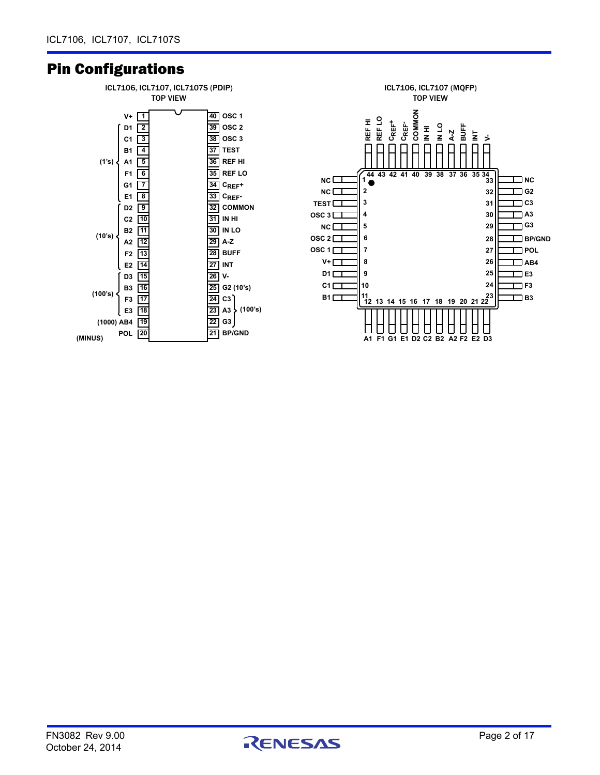### <span id="page-1-0"></span>Pin Configurations



![](_page_1_Picture_4.jpeg)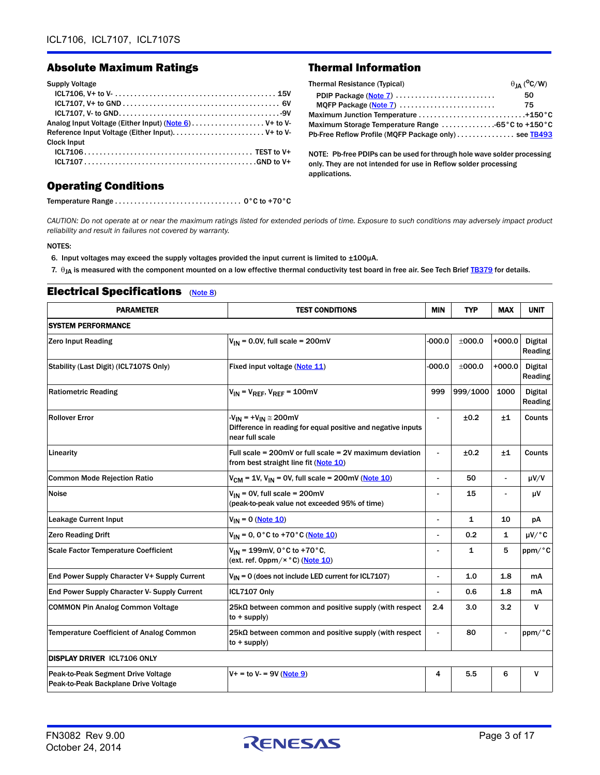#### Absolute Maximum Ratings Thermal Information

#### Supply Voltage ICL7106, V+ to V- . . . . . . . . . . . . . . . . . . . . . . . . . . . . . . . . . . . . . . . . . . 15V ICL7107, V+ to GND . . . . . . . . . . . . . . . . . . . . . . . . . . . . . . . . . . . . . . . . . 6V ICL7107, V- to GND. . . . . . . . . . . . . . . . . . . . . . . . . . . . . . . . . . . . . . . . . . -9V Analog Input Voltage (Either Input) ([Note 6](#page-2-0)) . . . . . . . . . . . . . . . . . . . V+ to V-Reference Input Voltage (Either Input). . . . . . . . . . . . . . . . . . . . . . . . V+ to V-Clock Input ICL7106 . . . . . . . . . . . . . . . . . . . . . . . . . . . . . . . . . . . . . . . . . . . . TEST to V+ ICL7107 . . . . . . . . . . . . . . . . . . . . . . . . . . . . . . . . . . . . . . . . . . . . .GND to V+

| <b>Thermal Resistance (Typical)</b>                           | $\theta_{IA}$ ( <sup>o</sup> C/W) |
|---------------------------------------------------------------|-----------------------------------|
| PDIP Package (Note 7)                                         | 50                                |
| MQFP Package (Note 7)                                         | 75                                |
|                                                               |                                   |
| Maximum Storage Temperature Range $\dots\dots\dots\dots\dots$ |                                   |
| Pb-Free Reflow Profile (MQFP Package only) see TB493          |                                   |

NOTE: Pb-free PDIPs can be used for through hole wave solder processing only. They are not intended for use in Reflow solder processing applications.

### Operating Conditions

Temperature Range . . . . . . . . . . . . . . . . . . . . . . . . . . . . . . . . . 0°C to +70°C

*CAUTION: Do not operate at or near the maximum ratings listed for extended periods of time. Exposure to such conditions may adversely impact product reliability and result in failures not covered by warranty.*

#### NOTES:

<span id="page-2-0"></span>6. Input voltages may exceed the supply voltages provided the input current is limited to ±100µA.

<span id="page-2-1"></span>7.  $\theta_{JA}$  is measured with the component mounted on a low effective thermal conductivity test board in free air. See Tech Brief [TB379](http://www.intersil.com/content/dam/Intersil/documents/tb37/tb379.pdf) for details.

| <b>PARAMETER</b>                                                                                                          | <b>TEST CONDITIONS</b>                                                                                                  | <b>MIN</b>               | <b>TYP</b>   | <b>MAX</b>   | <b>UNIT</b>               |  |  |  |
|---------------------------------------------------------------------------------------------------------------------------|-------------------------------------------------------------------------------------------------------------------------|--------------------------|--------------|--------------|---------------------------|--|--|--|
| <b>SYSTEM PERFORMANCE</b>                                                                                                 |                                                                                                                         |                          |              |              |                           |  |  |  |
| <b>Zero Input Reading</b>                                                                                                 | $V_{IN}$ = 0.0V, full scale = 200mV                                                                                     | $-000.0$                 | ±000.0       | $+000.0$     | <b>Digital</b><br>Reading |  |  |  |
| Stability (Last Digit) (ICL7107S Only)                                                                                    | Fixed input voltage (Note 11)                                                                                           | $-000.0$                 | ±000.0       | $+000.0$     | <b>Digital</b><br>Reading |  |  |  |
| <b>Ratiometric Reading</b>                                                                                                | $V_{IN}$ = $V_{REF}$ , $V_{REF}$ = 100mV                                                                                | 999                      | 999/1000     | 1000         | <b>Digital</b><br>Reading |  |  |  |
| <b>Rollover Error</b>                                                                                                     | $-V_{IN}$ = $+V_{IN} \approx 200$ mV<br>Difference in reading for equal positive and negative inputs<br>near full scale | $\overline{\phantom{a}}$ | ±0.2         | ±1           | Counts                    |  |  |  |
| Linearity                                                                                                                 | Full scale = $200mV$ or full scale = $2V$ maximum deviation<br>from best straight line fit (Note 10)                    |                          | ±0.2         | ±1           | Counts                    |  |  |  |
| <b>Common Mode Rejection Ratio</b>                                                                                        | $V_{CM}$ = 1V, $V_{IN}$ = 0V, full scale = 200mV (Note 10)                                                              | $\overline{a}$           | 50           | ÷,           | $\mu V/V$                 |  |  |  |
| <b>Noise</b>                                                                                                              | $V_{IN}$ = 0V, full scale = 200mV<br>(peak-to-peak value not exceeded 95% of time)                                      |                          | 15           |              | μV                        |  |  |  |
| <b>Leakage Current Input</b>                                                                                              | $V_{IN} = 0$ (Note 10)                                                                                                  | $\overline{a}$           | $\mathbf{1}$ | 10           | pA                        |  |  |  |
| <b>Zero Reading Drift</b>                                                                                                 | $V_{IN} = 0$ , 0°C to +70°C (Note 10)                                                                                   |                          | 0.2          | $\mathbf{1}$ | $\mu V$ $^{\circ}$ C      |  |  |  |
| <b>Scale Factor Temperature Coefficient</b>                                                                               | $V_{IN}$ = 199mV, 0°C to +70°C.<br>(ext. ref. 0ppm/ $\times$ °C) (Note 10)                                              |                          | 1            | 5            | ppm/°C                    |  |  |  |
| End Power Supply Character V+ Supply Current                                                                              | $V_{1N}$ = 0 (does not include LED current for ICL7107)                                                                 | $\overline{a}$           | 1.0          | 1.8          | mA                        |  |  |  |
| End Power Supply Character V- Supply Current                                                                              | <b>ICL7107 Only</b>                                                                                                     | $\overline{a}$           | 0.6          | 1.8          | mA                        |  |  |  |
| <b>COMMON Pin Analog Common Voltage</b><br>$25k\Omega$ between common and positive supply (with respect<br>$to + supply)$ |                                                                                                                         | 2.4                      | 3.0          | 3.2          | V                         |  |  |  |
| <b>Temperature Coefficient of Analog Common</b>                                                                           | $25k\Omega$ between common and positive supply (with respect<br>$to + supply)$                                          | -                        | 80           | ۰            | ppm/°C                    |  |  |  |
| <b>DISPLAY DRIVER ICL7106 ONLY</b>                                                                                        |                                                                                                                         |                          |              |              |                           |  |  |  |
| Peak-to-Peak Segment Drive Voltage<br>Peak-to-Peak Backplane Drive Voltage                                                | $V + =$ to $V - = 9V$ (Note 9)                                                                                          | 4                        | 5.5          | 6            | v                         |  |  |  |

#### Electrical Specifications ([Note 8\)](#page-3-3)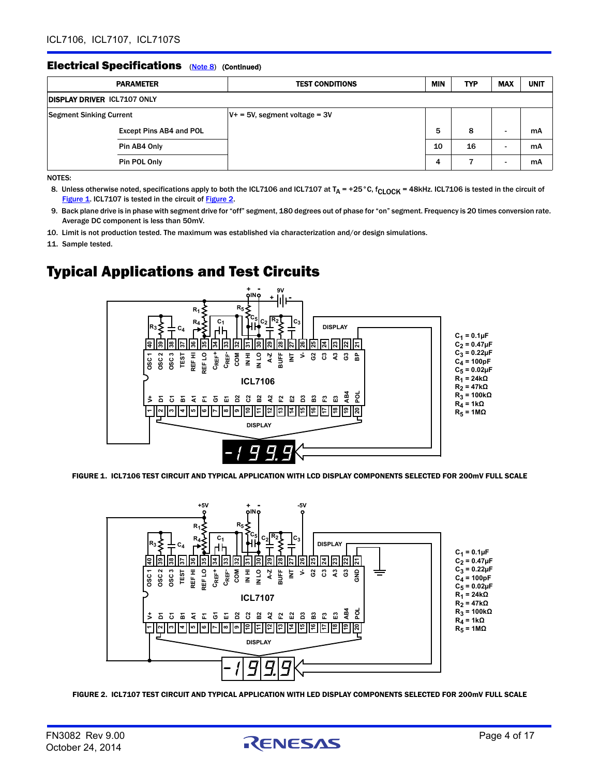#### **Electrical Specifications** (Note 8) (Continued)

| <b>PARAMETER</b>                   | <b>TEST CONDITIONS</b>           | <b>MIN</b> | <b>TYP</b> | <b>MAX</b> | <b>UNIT</b> |
|------------------------------------|----------------------------------|------------|------------|------------|-------------|
| <b>DISPLAY DRIVER ICL7107 ONLY</b> |                                  |            |            |            |             |
| <b>Segment Sinking Current</b>     | $V^+$ = 5V, segment voltage = 3V |            |            |            |             |
| <b>Except Pins AB4 and POL</b>     |                                  | 5          | 8          |            | mA          |
| Pin AB4 Only                       |                                  | 10         | 16         |            | mA          |
| Pin POL Only                       |                                  | 4          |            |            | mA          |

NOTES:

- <span id="page-3-3"></span>8. Unless otherwise noted, specifications apply to both the ICL7106 and ICL7107 at  $T_A$  = +25°C,  $f_{\text{CLOCK}}$  = 48kHz. ICL7106 is tested in the circuit of [Figure 1.](#page-3-4) ICL7107 is tested in the circuit of [Figure 2](#page-3-5).
- <span id="page-3-2"></span>9. Back plane drive is in phase with segment drive for "off" segment, 180 degrees out of phase for "on" segment. Frequency is 20 times conversion rate. Average DC component is less than 50mV.
- <span id="page-3-1"></span>10. Limit is not production tested. The maximum was established via characterization and/or design simulations.

<span id="page-3-0"></span>11. Sample tested.

### Typical Applications and Test Circuits

![](_page_3_Figure_9.jpeg)

<span id="page-3-4"></span>FIGURE 1. ICL7106 TEST CIRCUIT AND TYPICAL APPLICATION WITH LCD DISPLAY COMPONENTS SELECTED FOR 200mV FULL SCALE

![](_page_3_Figure_11.jpeg)

<span id="page-3-5"></span>FIGURE 2. ICL7107 TEST CIRCUIT AND TYPICAL APPLICATION WITH LED DISPLAY COMPONENTS SELECTED FOR 200mV FULL SCALE

![](_page_3_Picture_14.jpeg)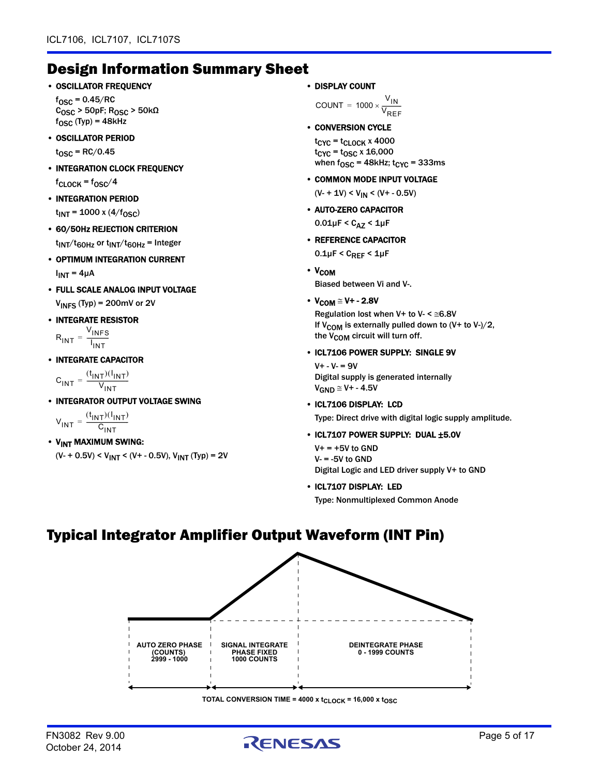### Design Information Summary Sheet

• OSCILLATOR FREQUENCY

 $f_{\rm OSC}$  = 0.45/RC  $\rm C_{OSC}$  > 50pF;  $\rm R_{OSC}$  > 50k $\Omega$  $f_{\rm OSC}$  (Typ) = 48kHz

• OSCILLATOR PERIOD

 $t_{\text{OSC}}$  = RC/0.45

• INTEGRATION CLOCK FREQUENCY

 $fc$ LOCK =  $f$ OSC $/4$ 

- INTEGRATION PERIOD  $t_{INT}$  = 1000 x (4/f<sub>OSC</sub>)
- 60/50Hz REJECTION CRITERION  $t_{INT}/t_{60Hz}$  or  $t_{INT}/t_{60Hz}$  = Integer
- OPTIMUM INTEGRATION CURRENT  $I_{INT} = 4\mu A$
- FULL SCALE ANALOG INPUT VOLTAGE  $V_{INFS}$  (Typ) = 200mV or 2V
- INTEGRATE RESISTOR

 $R_{\text{INT}} = \frac{V_{\text{INFS}}}{V_{\text{IVF}}}.$ I INT  $= - \frac{11813}{1}$ 

• INTEGRATE CAPACITOR

 $C_{\text{INT}} = \frac{(t_{\text{INT}})(l_{\text{INT}})}{V_{\text{H}}}}$  $=\frac{V_{INT}}{V_{INT}}$ 

• INTEGRATOR OUTPUT VOLTAGE SWING

 $V_{\text{INT}} = \frac{(t_{\text{INT}})(l_{\text{INT}})}{l_{\text{HUT}}}$  $=\frac{C_{INT}}{C_{INT}}$ 

• V<sub>INT</sub> MAXIMUM SWING:  $(V - + 0.5V) < V_{INT} < (V + - 0.5V), V_{INT} (Typ) = 2V$  • DISPLAY COUNT

COUNT =  $1000 \times 1000$  $\mathsf{v}_{\mathsf{IN}}$  $\mathsf{v}_{\mathsf{REF}}$ 

• CONVERSION CYCLE

 $t_{Cyc}$  =  $t_{CLOCK}$  x 4000  $t_{CYC} = t_{OSC} \times 16,000$ when  $f_{\text{OSC}} = 48$ kHz;  $t_{\text{CYC}} = 333$ ms

• COMMON MODE INPUT VOLTAGE

 $(V - 1V) < V_{IN} < (V + -0.5V)$ 

• AUTO-ZERO CAPACITOR

 $0.01 \mu F < C_{\Delta Z} < 1 \mu F$ 

• REFERENCE CAPACITOR

 $0.1 \mu$ F < C<sub>REF</sub> < 1 $\mu$ F

• V<sub>COM</sub>

Biased between Vi and V-.

•  $V_{COM} \cong V + -2.8V$ 

Regulation lost when  $V+$  to  $V-$  <  $\leq 6.8V$ If V<sub>COM</sub> is externally pulled down to  $(V+$  to V- $)/2$ , the V<sub>COM</sub> circuit will turn off.

• ICL7106 POWER SUPPLY: SINGLE 9V

 $V + - V - = 9V$ Digital supply is generated internally  $V_{GND} \cong V+ -4.5V$ 

#### • ICL7106 DISPLAY: LCD

Type: Direct drive with digital logic supply amplitude.

#### • ICL7107 POWER SUPPLY: DUAL ±5.0V

 $V+ = +5V$  to GND  $V = -5V$  to GND Digital Logic and LED driver supply V+ to GND

#### • ICL7107 DISPLAY: LED

Type: Nonmultiplexed Common Anode

### Typical Integrator Amplifier Output Waveform (INT Pin)

![](_page_4_Figure_42.jpeg)

**TOTAL CONVERSION TIME = 4000 x t<sub>CLOCK</sub> = 16,000 x t<sub>OSC</sub>** 

![](_page_4_Picture_45.jpeg)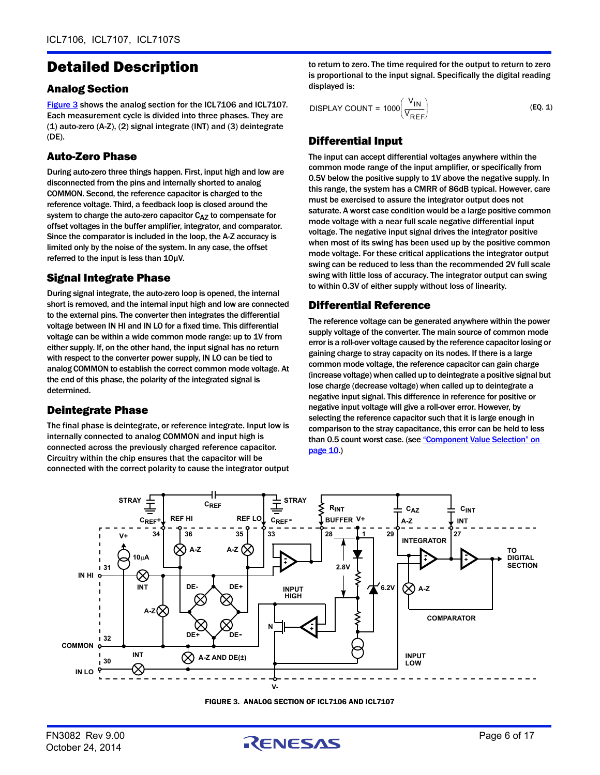### Detailed Description

#### Analog Section

[Figure 3](#page-5-0) shows the analog section for the ICL7106 and ICL7107. Each measurement cycle is divided into three phases. They are (1) auto-zero (A-Z), (2) signal integrate (INT) and (3) deintegrate (DE).

#### Auto-Zero Phase

During auto-zero three things happen. First, input high and low are disconnected from the pins and internally shorted to analog COMMON. Second, the reference capacitor is charged to the reference voltage. Third, a feedback loop is closed around the system to charge the auto-zero capacitor  $C_{AZ}$  to compensate for offset voltages in the buffer amplifier, integrator, and comparator. Since the comparator is included in the loop, the A-Z accuracy is limited only by the noise of the system. In any case, the offset referred to the input is less than 10µV.

#### Signal Integrate Phase

During signal integrate, the auto-zero loop is opened, the internal short is removed, and the internal input high and low are connected to the external pins. The converter then integrates the differential voltage between IN HI and IN LO for a fixed time. This differential voltage can be within a wide common mode range: up to 1V from either supply. If, on the other hand, the input signal has no return with respect to the converter power supply, IN LO can be tied to analog COMMON to establish the correct common mode voltage. At the end of this phase, the polarity of the integrated signal is determined.

#### Deintegrate Phase

The final phase is deintegrate, or reference integrate. Input low is internally connected to analog COMMON and input high is connected across the previously charged reference capacitor. Circuitry within the chip ensures that the capacitor will be connected with the correct polarity to cause the integrator output to return to zero. The time required for the output to return to zero is proportional to the input signal. Specifically the digital reading displayed is:

$$
DISPLAN COUNT = 1000 \left( \frac{V_{IN}}{V_{REF}} \right) \tag{EQ. 1}
$$

### Differential Input

The input can accept differential voltages anywhere within the common mode range of the input amplifier, or specifically from 0.5V below the positive supply to 1V above the negative supply. In this range, the system has a CMRR of 86dB typical. However, care must be exercised to assure the integrator output does not saturate. A worst case condition would be a large positive common mode voltage with a near full scale negative differential input voltage. The negative input signal drives the integrator positive when most of its swing has been used up by the positive common mode voltage. For these critical applications the integrator output swing can be reduced to less than the recommended 2V full scale swing with little loss of accuracy. The integrator output can swing to within 0.3V of either supply without loss of linearity.

#### Differential Reference

The reference voltage can be generated anywhere within the power supply voltage of the converter. The main source of common mode error is a roll-over voltage caused by the reference capacitor losing or gaining charge to stray capacity on its nodes. If there is a large common mode voltage, the reference capacitor can gain charge (increase voltage) when called up to deintegrate a positive signal but lose charge (decrease voltage) when called up to deintegrate a negative input signal. This difference in reference for positive or negative input voltage will give a roll-over error. However, by selecting the reference capacitor such that it is large enough in comparison to the stray capacitance, this error can be held to less than 0.5 count worst case. (see "Component Value Selection" on [page 10](#page-9-0).)

![](_page_5_Figure_16.jpeg)

FIGURE 3. ANALOG SECTION OF ICL7106 AND ICL7107

<span id="page-5-0"></span>![](_page_5_Picture_19.jpeg)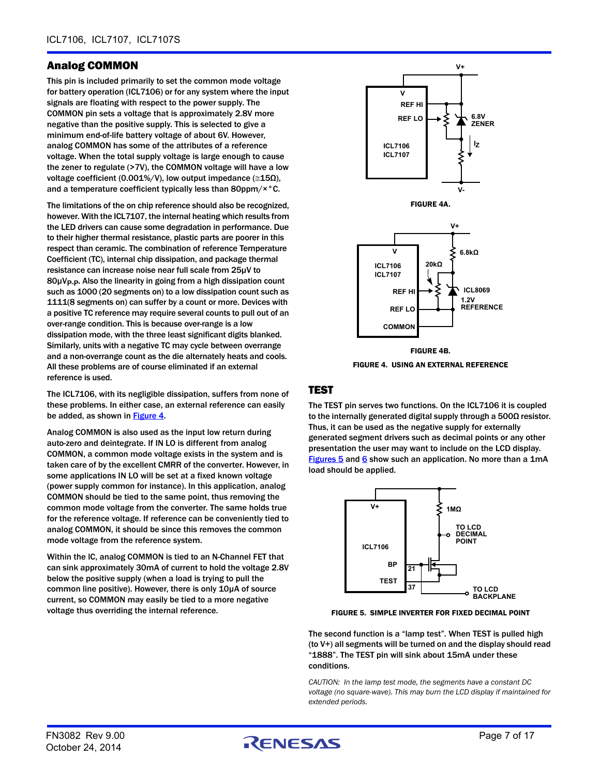#### <span id="page-6-2"></span>Analog COMMON

This pin is included primarily to set the common mode voltage for battery operation (ICL7106) or for any system where the input signals are floating with respect to the power supply. The COMMON pin sets a voltage that is approximately 2.8V more negative than the positive supply. This is selected to give a minimum end-of-life battery voltage of about 6V. However, analog COMMON has some of the attributes of a reference voltage. When the total supply voltage is large enough to cause the zener to regulate (>7V), the COMMON voltage will have a low voltage coefficient (0.001%/V), low output impedance ( $\leq$ 15Ω), and a temperature coefficient typically less than 80ppm/×°C.

The limitations of the on chip reference should also be recognized, however. With the ICL7107, the internal heating which results from the LED drivers can cause some degradation in performance. Due to their higher thermal resistance, plastic parts are poorer in this respect than ceramic. The combination of reference Temperature Coefficient (TC), internal chip dissipation, and package thermal resistance can increase noise near full scale from 25µV to  $80\mu V_{\text{P-P}}$ . Also the linearity in going from a high dissipation count such as 1000 (20 segments on) to a low dissipation count such as 1111(8 segments on) can suffer by a count or more. Devices with a positive TC reference may require several counts to pull out of an over-range condition. This is because over-range is a low dissipation mode, with the three least significant digits blanked. Similarly, units with a negative TC may cycle between overrange and a non-overrange count as the die alternately heats and cools. All these problems are of course eliminated if an external reference is used.

The ICL7106, with its negligible dissipation, suffers from none of these problems. In either case, an external reference can easily be added, as shown in [Figure 4](#page-6-0).

Analog COMMON is also used as the input low return during auto-zero and deintegrate. If IN LO is different from analog COMMON, a common mode voltage exists in the system and is taken care of by the excellent CMRR of the converter. However, in some applications IN LO will be set at a fixed known voltage (power supply common for instance). In this application, analog COMMON should be tied to the same point, thus removing the common mode voltage from the converter. The same holds true for the reference voltage. If reference can be conveniently tied to analog COMMON, it should be since this removes the common mode voltage from the reference system.

Within the lC, analog COMMON is tied to an N-Channel FET that can sink approximately 30mA of current to hold the voltage 2.8V below the positive supply (when a load is trying to pull the common line positive). However, there is only 10µA of source current, so COMMON may easily be tied to a more negative voltage thus overriding the internal reference.

![](_page_6_Figure_7.jpeg)

FIGURE 4. USING AN EXTERNAL REFERENCE

#### <span id="page-6-0"></span>**TEST**

The TEST pin serves two functions. On the ICL7106 it is coupled to the internally generated digital supply through a 500Ω resistor. Thus, it can be used as the negative supply for externally generated segment drivers such as decimal points or any other presentation the user may want to include on the LCD display. [Figures 5](#page-6-1) and [6](#page-7-0) show such an application. No more than a 1mA load should be applied.

![](_page_6_Figure_11.jpeg)

<span id="page-6-1"></span>FIGURE 5. SIMPLE INVERTER FOR FIXED DECIMAL POINT

The second function is a "lamp test". When TEST is pulled high (to V+) all segments will be turned on and the display should read "1888". The TEST pin will sink about 15mA under these conditions.

*CAUTION: In the lamp test mode, the segments have a constant DC voltage (no square-wave). This may burn the LCD display if maintained for extended periods.*

![](_page_6_Picture_16.jpeg)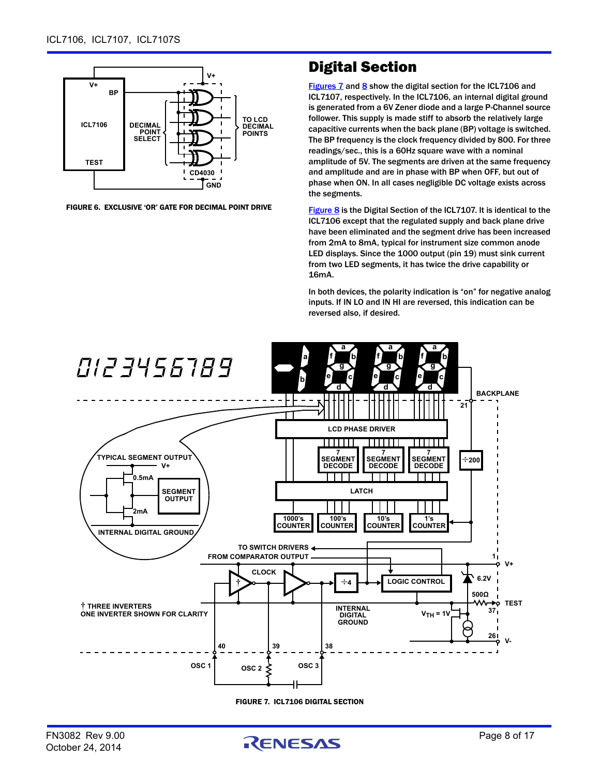![](_page_7_Figure_1.jpeg)

<span id="page-7-0"></span>FIGURE 6. EXCLUSIVE 'OR' GATE FOR DECIMAL POINT DRIVE

### Digital Section

[Figures 7](#page-7-1) and [8](#page-8-0) show the digital section for the ICL7106 and ICL7107, respectively. In the ICL7106, an internal digital ground is generated from a 6V Zener diode and a large P-Channel source follower. This supply is made stiff to absorb the relatively large capacitive currents when the back plane (BP) voltage is switched. The BP frequency is the clock frequency divided by 800. For three readings/sec., this is a 60Hz square wave with a nominal amplitude of 5V. The segments are driven at the same frequency and amplitude and are in phase with BP when OFF, but out of phase when ON. In all cases negligible DC voltage exists across the segments.

[Figure 8](#page-8-0) is the Digital Section of the ICL7107. It is identical to the ICL7106 except that the regulated supply and back plane drive have been eliminated and the segment drive has been increased from 2mA to 8mA, typical for instrument size common anode LED displays. Since the 1000 output (pin 19) must sink current from two LED segments, it has twice the drive capability or 16mA.

In both devices, the polarity indication is "on" for negative analog inputs. If IN LO and IN HI are reversed, this indication can be reversed also, if desired.

![](_page_7_Figure_7.jpeg)

FIGURE 7. ICL7106 DIGITAL SECTION

<span id="page-7-1"></span>![](_page_7_Picture_10.jpeg)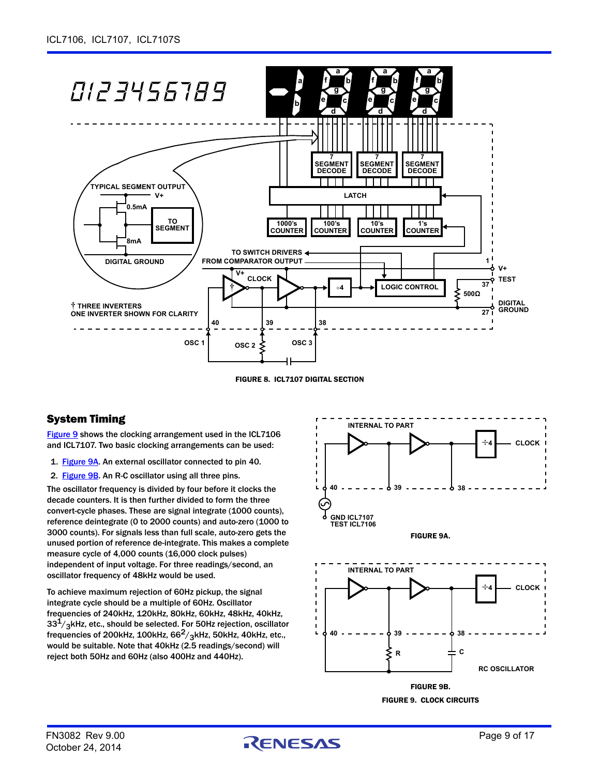![](_page_8_Figure_1.jpeg)

FIGURE 8. ICL7107 DIGITAL SECTION

#### <span id="page-8-0"></span>System Timing

[Figure 9](#page-8-1) shows the clocking arrangement used in the ICL7106 and ICL7107. Two basic clocking arrangements can be used:

- 1. [Figure 9A](#page-8-2). An external oscillator connected to pin 40.
- 2. [Figure 9B](#page-8-3). An R-C oscillator using all three pins.

The oscillator frequency is divided by four before it clocks the decade counters. It is then further divided to form the three convert-cycle phases. These are signal integrate (1000 counts), reference deintegrate (0 to 2000 counts) and auto-zero (1000 to 3000 counts). For signals less than full scale, auto-zero gets the unused portion of reference de-integrate. This makes a complete measure cycle of 4,000 counts (16,000 clock pulses) independent of input voltage. For three readings/second, an oscillator frequency of 48kHz would be used.

To achieve maximum rejection of 60Hz pickup, the signal integrate cycle should be a multiple of 60Hz. Oscillator frequencies of 240kHz, 120kHz, 80kHz, 60kHz, 48kHz, 40kHz,  $33<sup>1</sup>/3$ kHz, etc., should be selected. For 50Hz rejection, oscillator frequencies of 200kHz, 100kHz,  $66<sup>2</sup>/3$ kHz, 50kHz, 40kHz, etc., would be suitable. Note that 40kHz (2.5 readings/second) will reject both 50Hz and 60Hz (also 400Hz and 440Hz).

<span id="page-8-2"></span>![](_page_8_Figure_9.jpeg)

<span id="page-8-3"></span><span id="page-8-1"></span>FIGURE 9. CLOCK CIRCUITS

![](_page_8_Picture_12.jpeg)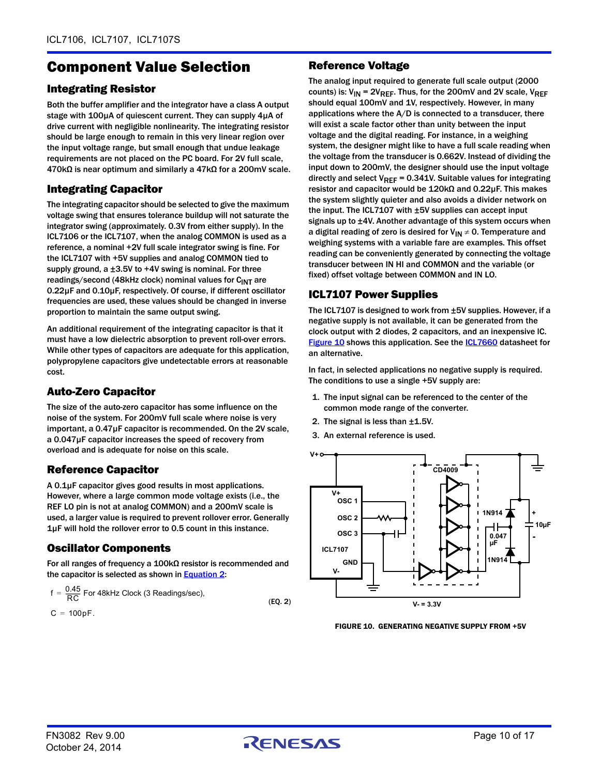### <span id="page-9-0"></span>Component Value Selection

#### Integrating Resistor

Both the buffer amplifier and the integrator have a class A output stage with 100µA of quiescent current. They can supply 4µA of drive current with negligible nonlinearity. The integrating resistor should be large enough to remain in this very linear region over the input voltage range, but small enough that undue leakage requirements are not placed on the PC board. For 2V full scale, 470kΩ is near optimum and similarly a 47kΩ for a 200mV scale.

#### Integrating Capacitor

The integrating capacitor should be selected to give the maximum voltage swing that ensures tolerance buildup will not saturate the integrator swing (approximately. 0.3V from either supply). In the ICL7106 or the ICL7107, when the analog COMMON is used as a reference, a nominal +2V full scale integrator swing is fine. For the ICL7107 with +5V supplies and analog COMMON tied to supply ground, a ±3.5V to +4V swing is nominal. For three readings/second (48kHz clock) nominal values for  $C<sub>INT</sub>$  are 0.22µF and 0.10µF, respectively. Of course, if different oscillator frequencies are used, these values should be changed in inverse proportion to maintain the same output swing.

An additional requirement of the integrating capacitor is that it must have a low dielectric absorption to prevent roll-over errors. While other types of capacitors are adequate for this application, polypropylene capacitors give undetectable errors at reasonable cost.

#### Auto-Zero Capacitor

The size of the auto-zero capacitor has some influence on the noise of the system. For 200mV full scale where noise is very important, a 0.47µF capacitor is recommended. On the 2V scale, a 0.047µF capacitor increases the speed of recovery from overload and is adequate for noise on this scale.

#### Reference Capacitor

A 0.1µF capacitor gives good results in most applications. However, where a large common mode voltage exists (i.e., the REF LO pin is not at analog COMMON) and a 200mV scale is used, a larger value is required to prevent rollover error. Generally 1µF will hold the rollover error to 0.5 count in this instance.

#### Oscillator Components

For all ranges of frequency a 100kΩ resistor is recommended and the capacitor is selected as shown in **[Equation 2](#page-9-1):** 

$$
f = \frac{0.45}{RC}
$$
 For 48kHz Clock (3 Readings/sec), (EQ. 2)

$$
C = 100pF.
$$

#### Reference Voltage

The analog input required to generate full scale output (2000 counts) is:  $V_{IN}$  = 2V<sub>REF</sub>. Thus, for the 200mV and 2V scale, V<sub>REF</sub> should equal 100mV and 1V, respectively. However, in many applications where the A/D is connected to a transducer, there will exist a scale factor other than unity between the input voltage and the digital reading. For instance, in a weighing system, the designer might like to have a full scale reading when the voltage from the transducer is 0.662V. Instead of dividing the input down to 200mV, the designer should use the input voltage directly and select  $V_{REF} = 0.341V$ . Suitable values for integrating resistor and capacitor would be 120kΩ and 0.22µF. This makes the system slightly quieter and also avoids a divider network on the input. The ICL7107 with ±5V supplies can accept input signals up to ±4V. Another advantage of this system occurs when a digital reading of zero is desired for  $V_{IN} \neq 0$ . Temperature and weighing systems with a variable fare are examples. This offset reading can be conveniently generated by connecting the voltage transducer between IN HI and COMMON and the variable (or fixed) offset voltage between COMMON and IN LO.

#### ICL7107 Power Supplies

The ICL7107 is designed to work from ±5V supplies. However, if a negative supply is not available, it can be generated from the clock output with 2 diodes, 2 capacitors, and an inexpensive lC. [Figure 10](#page-9-2) shows this application. See the **ICL7660** datasheet for an alternative.

In fact, in selected applications no negative supply is required. The conditions to use a single +5V supply are:

- 1. The input signal can be referenced to the center of the common mode range of the converter.
- 2. The signal is less than ±1.5V.
- 3. An external reference is used.

![](_page_9_Figure_23.jpeg)

<span id="page-9-2"></span><span id="page-9-1"></span>FIGURE 10. GENERATING NEGATIVE SUPPLY FROM +5V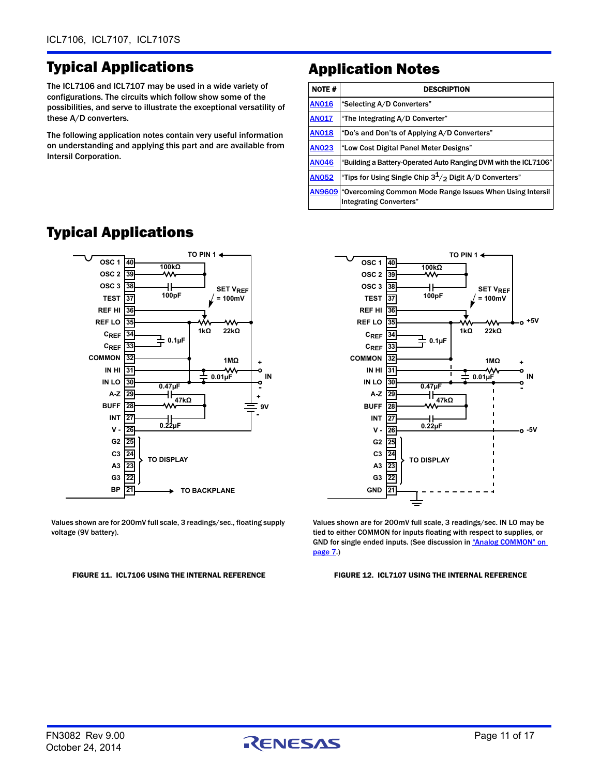## Typical Applications

The ICL7106 and ICL7107 may be used in a wide variety of configurations. The circuits which follow show some of the possibilities, and serve to illustrate the exceptional versatility of these A/D converters.

The following application notes contain very useful information on understanding and applying this part and are available from Intersil Corporation.

## Application Notes

| <b>NOTE#</b> | <b>DESCRIPTION</b>                                                                                       |
|--------------|----------------------------------------------------------------------------------------------------------|
| <b>AN016</b> | "Selecting A/D Converters"                                                                               |
| <b>AN017</b> | "The Integrating A/D Converter"                                                                          |
| <b>AN018</b> | "Do's and Don'ts of Applying A/D Converters"                                                             |
| <b>AN023</b> | "Low Cost Digital Panel Meter Designs"                                                                   |
| <b>AN046</b> | "Building a Battery-Operated Auto Ranging DVM with the ICL7106"                                          |
| <b>AN052</b> | "Tips for Using Single Chip $3^1/2$ Digit A/D Converters"                                                |
|              | <b>AN9609</b> "Overcoming Common Mode Range Issues When Using Intersil<br><b>Integrating Converters"</b> |

![](_page_10_Figure_6.jpeg)

### Typical Applications

**TO PIN 1 OSC 1 40 100kΩ OSC 2 39 OSC 3 38** ┪┡ **SET V<sub>REF</sub> 100pF TEST 37 = 100mV REF HI 36 +5V REF LO 35 1kΩ 22kΩ CREF 34 0.1µF CREF 33 COMMON 32 1MΩ + IN HI 31 0.01µF IN IN LO 30 0.47µF - 47kΩ A-Z 29 BUFF 28 INT 27 0.22µF 26 -5VV - 25 G2 C3 24 TO DISPLAY A3 23 G3 22 GND 21**

Values shown are for 200mV full scale, 3 readings/sec., floating supply voltage (9V battery).

#### FIGURE 11. ICL7106 USING THE INTERNAL REFERENCE FIGURE 12. ICL7107 USING THE INTERNAL REFERENCE

<span id="page-10-0"></span>Values shown are for 200mV full scale, 3 readings/sec. IN LO may be tied to either COMMON for inputs floating with respect to supplies, or GND for single ended inputs. (See discussion in "Analog COMMON" on [page 7](#page-6-2).)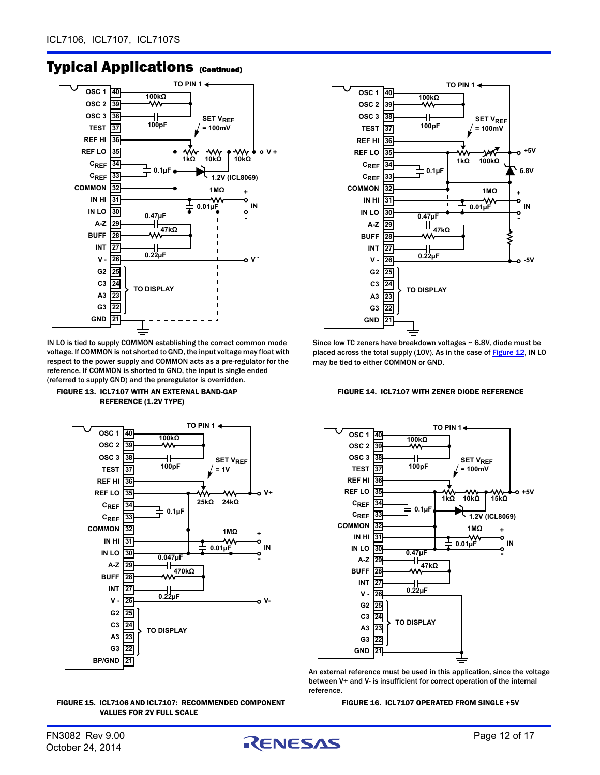![](_page_11_Figure_1.jpeg)

IN LO is tied to supply COMMON establishing the correct common mode voltage. If COMMON is not shorted to GND, the input voltage may float with respect to the power supply and COMMON acts as a pre-regulator for the reference. If COMMON is shorted to GND, the input is single ended (referred to supply GND) and the preregulator is overridden.

![](_page_11_Figure_4.jpeg)

![](_page_11_Figure_5.jpeg)

![](_page_11_Figure_6.jpeg)

![](_page_11_Figure_7.jpeg)

Since low TC zeners have breakdown voltages ~ 6.8V, diode must be placed across the total supply (10V). As in the case of **Figure 12**, IN LO may be tied to either COMMON or GND.

![](_page_11_Figure_9.jpeg)

![](_page_11_Figure_10.jpeg)

An external reference must be used in this application, since the voltage between V+ and V- is insufficient for correct operation of the internal reference.

FIGURE 16. ICL7107 OPERATED FROM SINGLE +5V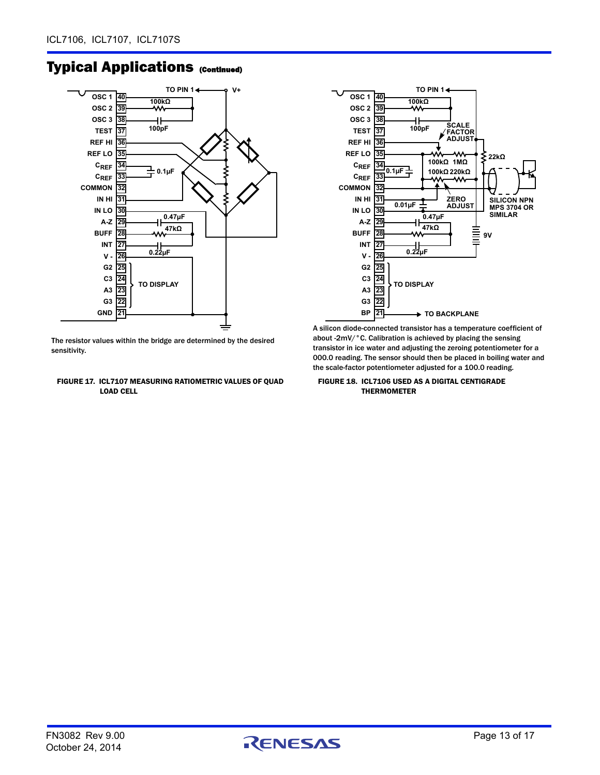![](_page_12_Figure_2.jpeg)

The resistor values within the bridge are determined by the desired sensitivity.

#### FIGURE 17. ICL7107 MEASURING RATIOMETRIC VALUES OF QUAD LOAD CELL

![](_page_12_Figure_5.jpeg)

A silicon diode-connected transistor has a temperature coefficient of about -2mV/°C. Calibration is achieved by placing the sensing transistor in ice water and adjusting the zeroing potentiometer for a 000.0 reading. The sensor should then be placed in boiling water and the scale-factor potentiometer adjusted for a 100.0 reading.

FIGURE 18. ICL7106 USED AS A DIGITAL CENTIGRADE THERMOMETER

![](_page_12_Picture_9.jpeg)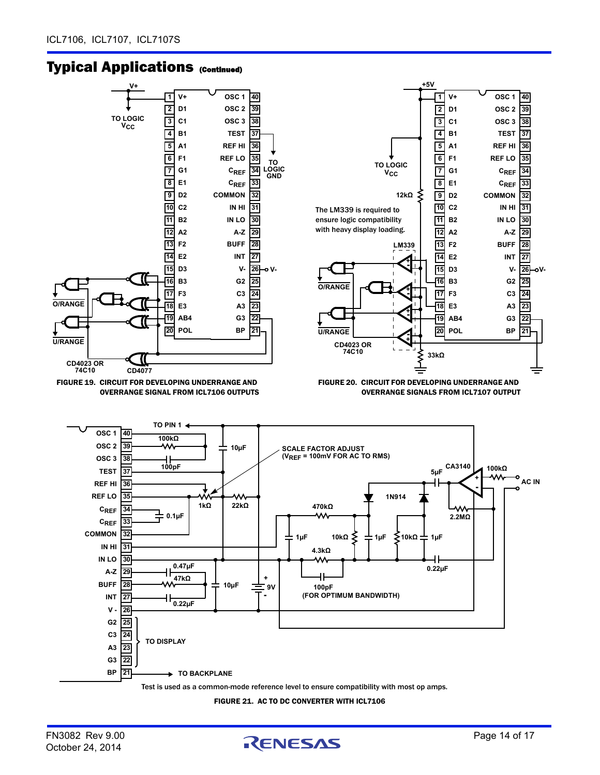![](_page_13_Figure_2.jpeg)

FIGURE 21. AC TO DC CONVERTER WITH ICL7106

![](_page_13_Picture_5.jpeg)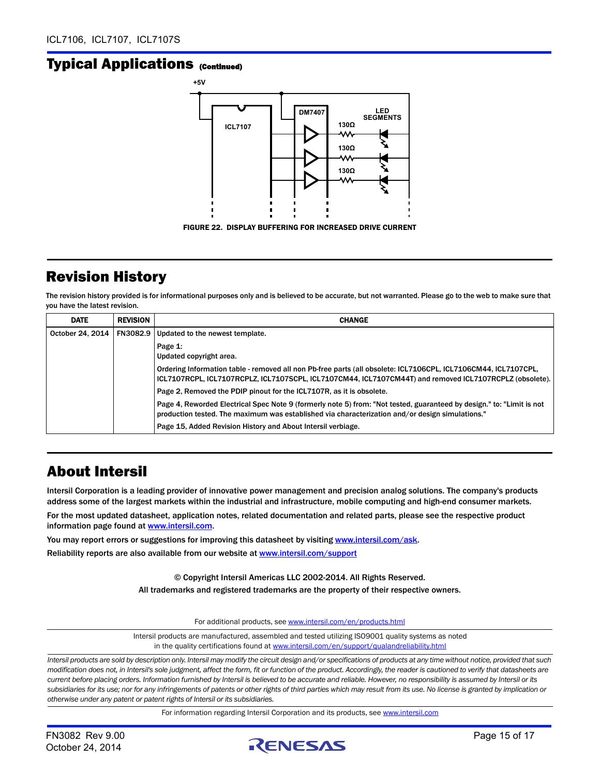![](_page_14_Figure_2.jpeg)

### <span id="page-14-0"></span>Revision History

The revision history provided is for informational purposes only and is believed to be accurate, but not warranted. Please go to the web to make sure that you have the latest revision.

| <b>DATE</b>      | <b>REVISION</b> | <b>CHANGE</b>                                                                                                                                                                                                             |
|------------------|-----------------|---------------------------------------------------------------------------------------------------------------------------------------------------------------------------------------------------------------------------|
| October 24, 2014 | FN3082.9        | Updated to the newest template.                                                                                                                                                                                           |
|                  |                 | Page 1:<br>Updated copyright area.                                                                                                                                                                                        |
|                  |                 | Ordering Information table - removed all non Pb-free parts (all obsolete: ICL7106CPL, ICL7106CM44, ICL7107CPL,<br>ICL7107RCPL, ICL7107RCPLZ, ICL7107SCPL, ICL7107CM44, ICL7107CM44T) and removed ICL7107RCPLZ (obsolete). |
|                  |                 | Page 2, Removed the PDIP pinout for the ICL7107R, as it is obsolete.                                                                                                                                                      |
|                  |                 | Page 4, Reworded Electrical Spec Note 9 (formerly note 5) from: "Not tested, guaranteed by design." to: "Limit is not<br>production tested. The maximum was established via characterization and/or design simulations."  |
|                  |                 | Page 15, Added Revision History and About Intersil verbiage.                                                                                                                                                              |

### About Intersil

Intersil Corporation is a leading provider of innovative power management and precision analog solutions. The company's products address some of the largest markets within the industrial and infrastructure, mobile computing and high-end consumer markets. For the most updated datasheet, application notes, related documentation and related parts, please see the respective product information page found at [www.intersil.com.](www.intersil.com)

You may report errors or suggestions for improving this datasheet by visiting [www.intersil.com/ask](http://www.intersil.com/en/support/support-faqs.html?p_page=ask.php&p_prods=679&p_icf_7=ICL7106, ICL7107, ICL7107S). Reliability reports are also available from our website at [www.intersil.com/support](http://www.intersil.com/en/support/qualandreliability.html#reliability)

> © Copyright Intersil Americas LLC 2002-2014. All Rights Reserved. All trademarks and registered trademarks are the property of their respective owners.

> > For additional products, see [www.intersil.com/en/products.html](http://www.intersil.com/en/products.html?utm_source=Intersil&utm_medium=datasheet&utm_campaign=disclaimer-ds-footer)

[Intersil products are manufactured, assembled and tested utilizing ISO9001 quality systems as noted](http://www.intersil.com/en/products.html?utm_source=Intersil&utm_medium=datasheet&utm_campaign=disclaimer-ds-footer) in the quality certifications found at [www.intersil.com/en/support/qualandreliability.html](http://www.intersil.com/en/support/qualandreliability.html?utm_source=Intersil&utm_medium=datasheet&utm_campaign=disclaimer-ds-footer)

*Intersil products are sold by description only. Intersil may modify the circuit design and/or specifications of products at any time without notice, provided that such modification does not, in Intersil's sole judgment, affect the form, fit or function of the product. Accordingly, the reader is cautioned to verify that datasheets are current before placing orders. Information furnished by Intersil is believed to be accurate and reliable. However, no responsibility is assumed by Intersil or its subsidiaries for its use; nor for any infringements of patents or other rights of third parties which may result from its use. No license is granted by implication or otherwise under any patent or patent rights of Intersil or its subsidiaries.*

For information regarding Intersil Corporation and its products, see [www.intersil.com](http://www.intersil.com?utm_source=intersil&utm_medium=datasheet&utm_campaign=disclaimer-ds-footer)

![](_page_14_Picture_15.jpeg)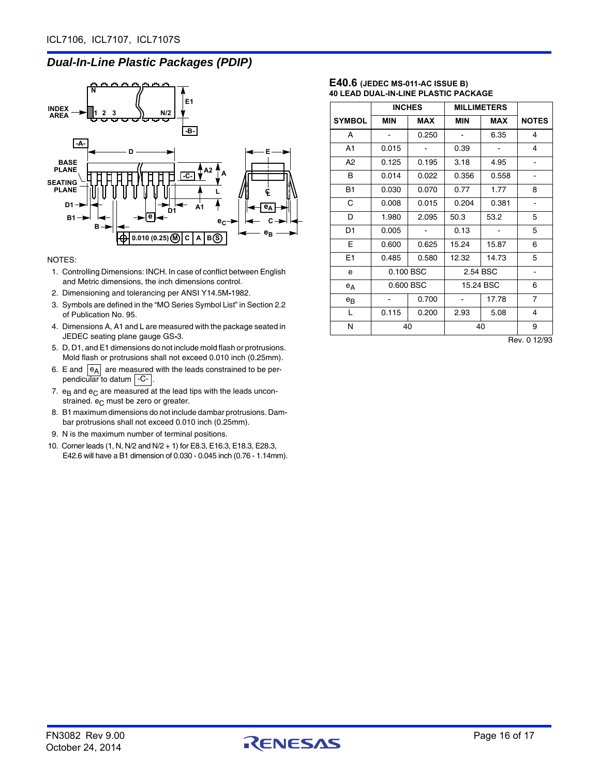### *Dual-In-Line Plastic Packages (PDIP)*

![](_page_15_Figure_2.jpeg)

#### NOTES:

- 1. Controlling Dimensions: INCH. In case of conflict between English and Metric dimensions, the inch dimensions control.
- 2. Dimensioning and tolerancing per ANSI Y14.5M**-**1982.
- 3. Symbols are defined in the "MO Series Symbol List" in Section 2.2 of Publication No. 95.
- 4. Dimensions A, A1 and L are measured with the package seated in JEDEC seating plane gauge GS**-**3.
- 5. D, D1, and E1 dimensions do not include mold flash or protrusions. Mold flash or protrusions shall not exceed 0.010 inch (0.25mm).
- 6. E and  $|e_A|$  are measured with the leads constrained to be perpendicular to datum | C- |.
- 7.  $e_B$  and  $e_C$  are measured at the lead tips with the leads unconstrained.  $e_C$  must be zero or greater.
- 8. B1 maximum dimensions do not include dambar protrusions. Dambar protrusions shall not exceed 0.010 inch (0.25mm).
- 9. N is the maximum number of terminal positions.
- 10. Corner leads (1, N, N/2 and N/2 + 1) for E8.3, E16.3, E18.3, E28.3, E42.6 will have a B1 dimension of 0.030 - 0.045 inch (0.76 - 1.14mm).

#### **E40.6 (JEDEC MS-011-AC ISSUE B) 40 LEAD DUAL-IN-LINE PLASTIC PACKAGE**

|                | <b>INCHES</b> |            | <b>MILLIMETERS</b> |            |                |
|----------------|---------------|------------|--------------------|------------|----------------|
| <b>SYMBOL</b>  | <b>MIN</b>    | <b>MAX</b> | <b>MIN</b>         | <b>MAX</b> | <b>NOTES</b>   |
| A              |               | 0.250      |                    | 6.35       | 4              |
| A1             | 0.015         |            | 0.39               |            | 4              |
| A <sub>2</sub> | 0.125         | 0.195      | 3.18               | 4.95       |                |
| В              | 0.014         | 0.022      | 0.356              | 0.558      |                |
| <b>B1</b>      | 0.030         | 0.070      | 0.77               | 1.77       | 8              |
| C              | 0.008         | 0.015      | 0.204              | 0.381      | $\overline{a}$ |
| D              | 1.980         | 2.095      | 50.3               | 53.2       | 5              |
| D1             | 0.005         |            | 0.13               |            | 5              |
| Е              | 0.600         | 0.625      | 15.24              | 15.87      | 6              |
| E <sub>1</sub> | 0.485         | 0.580      | 12.32              | 14.73      | 5              |
| e              | 0.100 BSC     |            | 2.54 BSC           |            |                |
| $e_A$          | 0.600 BSC     |            |                    | 15.24 BSC  | 6              |
| $e_{B}$        |               | 0.700      |                    | 17.78      | $\overline{7}$ |
| L              | 0.115         | 0.200      | 2.93               | 5.08       | 4              |
| N              | 40            |            |                    | 40         | 9              |

Rev. 0 12/93

![](_page_15_Picture_18.jpeg)